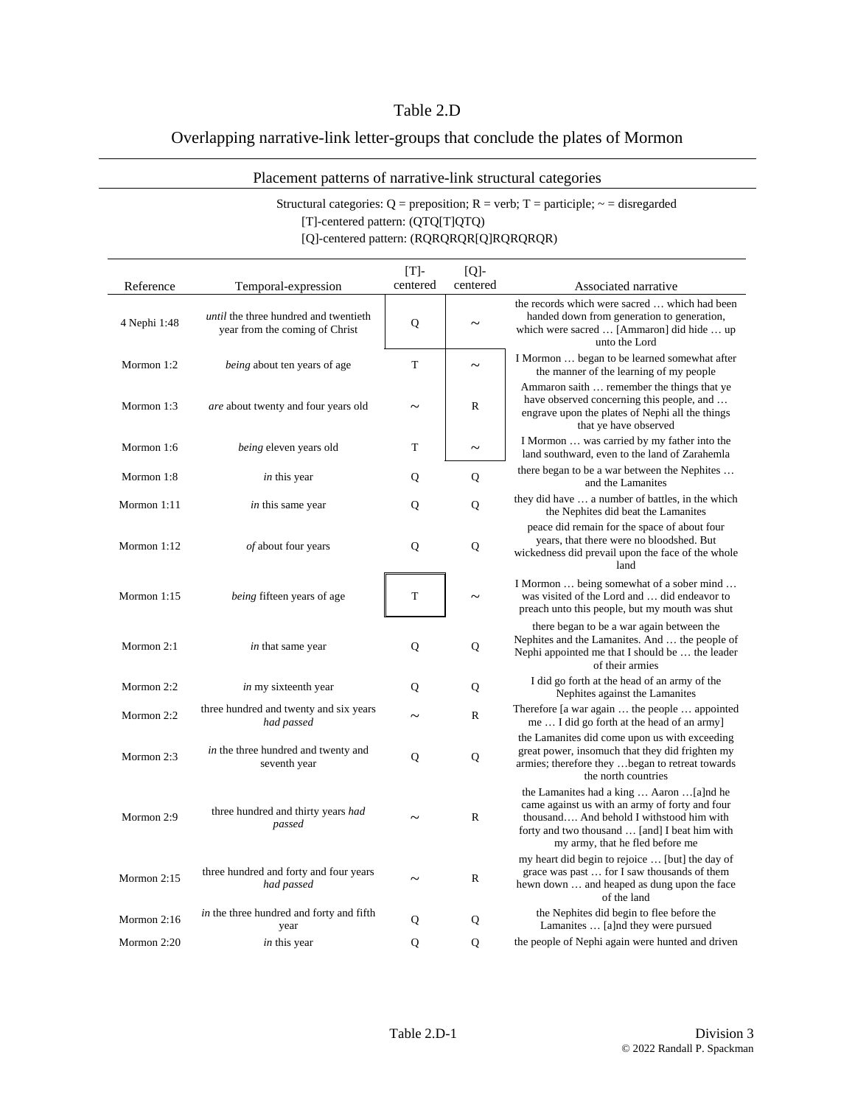## Table 2.D

## Overlapping narrative-link letter-groups that conclude the plates of Mormon

## Placement patterns of narrative-link structural categories

## Structural categories:  $Q =$  preposition;  $R =$  verb;  $T =$  participle;  $\sim$  = disregarded [T]-centered pattern: (QTQ[T]QTQ) [Q]-centered pattern: (RQRQRQR[Q]RQRQRQR)

|               |                                                                         | $[T]$ -    | $[Q]$ -               |                                                                                                                                                                                                                            |
|---------------|-------------------------------------------------------------------------|------------|-----------------------|----------------------------------------------------------------------------------------------------------------------------------------------------------------------------------------------------------------------------|
| Reference     | Temporal-expression                                                     | centered   | centered              | Associated narrative                                                                                                                                                                                                       |
| 4 Nephi 1:48  | until the three hundred and twentieth<br>year from the coming of Christ | Q          |                       | the records which were sacred  which had been<br>handed down from generation to generation,<br>which were sacred  [Ammaron] did hide  up<br>unto the Lord                                                                  |
| Mormon 1:2    | <i>being</i> about ten years of age                                     | T          | $\tilde{\phantom{a}}$ | I Mormon  began to be learned somewhat after<br>the manner of the learning of my people                                                                                                                                    |
| Mormon $1:3$  | <i>are</i> about twenty and four years old                              | $\tilde{}$ | R                     | Ammaron saith  remember the things that ye<br>have observed concerning this people, and<br>engrave upon the plates of Nephi all the things<br>that ye have observed                                                        |
| Mormon 1:6    | <i>being</i> eleven years old                                           | T          | $\tilde{\phantom{a}}$ | I Mormon  was carried by my father into the<br>land southward, even to the land of Zarahemla                                                                                                                               |
| Mormon 1:8    | in this year                                                            | Q          | Q                     | there began to be a war between the Nephites<br>and the Lamanites                                                                                                                                                          |
| Mormon 1:11   | <i>in</i> this same year                                                | Q          | Q                     | they did have  a number of battles, in the which<br>the Nephites did beat the Lamanites                                                                                                                                    |
| Mormon $1:12$ | of about four years                                                     | Q          | Q                     | peace did remain for the space of about four<br>years, that there were no bloodshed. But<br>wickedness did prevail upon the face of the whole<br>land                                                                      |
| Mormon 1:15   | being fifteen years of age                                              | T          | $\tilde{\phantom{a}}$ | I Mormon  being somewhat of a sober mind<br>was visited of the Lord and  did endeavor to<br>preach unto this people, but my mouth was shut                                                                                 |
| Mormon 2:1    | <i>in</i> that same year                                                | Q          | Q                     | there began to be a war again between the<br>Nephites and the Lamanites. And  the people of<br>Nephi appointed me that I should be  the leader<br>of their armies                                                          |
| Mormon 2:2    | <i>in</i> my sixteenth year                                             | Q          | Q                     | I did go forth at the head of an army of the<br>Nephites against the Lamanites                                                                                                                                             |
| Mormon 2:2    | three hundred and twenty and six years<br>had passed                    |            | R                     | Therefore [a war again  the people  appointed<br>me  I did go forth at the head of an army]                                                                                                                                |
| Mormon 2:3    | in the three hundred and twenty and<br>seventh year                     | Q          | $\mathbf Q$           | the Lamanites did come upon us with exceeding<br>great power, insomuch that they did frighten my<br>armies; therefore they  began to retreat towards<br>the north countries                                                |
| Mormon 2:9    | three hundred and thirty years had<br>passed                            |            | $\mathbb{R}$          | the Lamanites had a king  Aaron [a]nd he<br>came against us with an army of forty and four<br>thousand And behold I withstood him with<br>forty and two thousand  [and] I beat him with<br>my army, that he fled before me |
| Mormon 2:15   | three hundred and forty and four years<br>had passed                    |            | R                     | my heart did begin to rejoice  [but] the day of<br>grace was past  for I saw thousands of them<br>hewn down  and heaped as dung upon the face<br>of the land                                                               |
| Mormon $2:16$ | <i>in</i> the three hundred and forty and fifth<br>year                 | Q          | Q                     | the Nephites did begin to flee before the<br>Lamanites  [a]nd they were pursued                                                                                                                                            |
| Mormon 2:20   | <i>in</i> this year                                                     | Q          | 0                     | the people of Nephi again were hunted and driven                                                                                                                                                                           |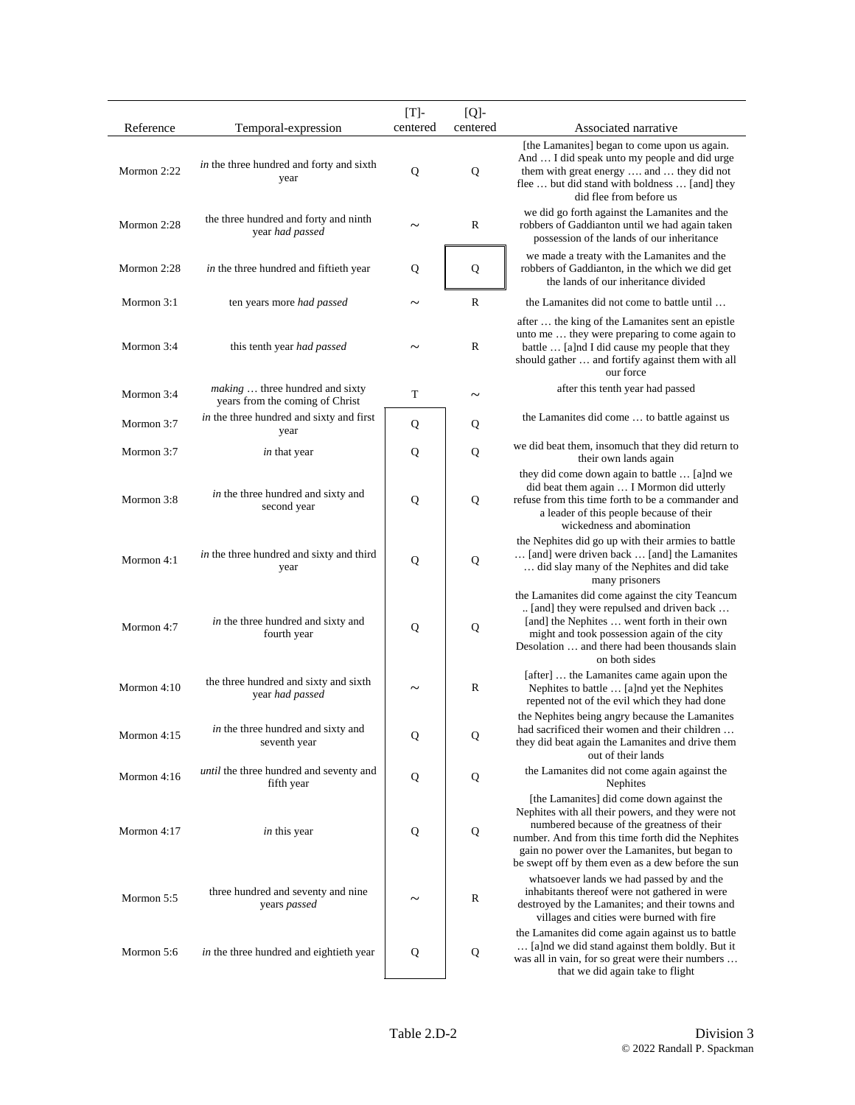| Reference   | Temporal-expression                                                      | $[T]$ -<br>centered | $[Q]$ -<br>centered | Associated narrative                                                                                                                                                                                                                                                                                     |
|-------------|--------------------------------------------------------------------------|---------------------|---------------------|----------------------------------------------------------------------------------------------------------------------------------------------------------------------------------------------------------------------------------------------------------------------------------------------------------|
| Mormon 2:22 | in the three hundred and forty and sixth<br>year                         | Q                   | Q                   | [the Lamanites] began to come upon us again.<br>And  I did speak unto my people and did urge<br>them with great energy  and  they did not<br>flee  but did stand with boldness  [and] they<br>did flee from before us                                                                                    |
| Mormon 2:28 | the three hundred and forty and ninth<br>year had passed                 |                     | R                   | we did go forth against the Lamanites and the<br>robbers of Gaddianton until we had again taken<br>possession of the lands of our inheritance                                                                                                                                                            |
| Mormon 2:28 | in the three hundred and fiftieth year                                   | Q                   | Q                   | we made a treaty with the Lamanites and the<br>robbers of Gaddianton, in the which we did get<br>the lands of our inheritance divided                                                                                                                                                                    |
| Mormon 3:1  | ten years more had passed                                                | $\tilde{}$          | $\mathbb{R}$        | the Lamanites did not come to battle until                                                                                                                                                                                                                                                               |
| Mormon 3:4  | this tenth year had passed                                               |                     | R                   | after  the king of the Lamanites sent an epistle<br>unto me  they were preparing to come again to<br>battle  [a]nd I did cause my people that they<br>should gather  and fortify against them with all<br>our force                                                                                      |
| Mormon 3:4  | <i>making</i> three hundred and sixty<br>years from the coming of Christ | T                   | ~                   | after this tenth year had passed                                                                                                                                                                                                                                                                         |
| Mormon 3:7  | in the three hundred and sixty and first<br>year                         | Q                   | Q                   | the Lamanites did come  to battle against us                                                                                                                                                                                                                                                             |
| Mormon 3:7  | in that year                                                             | Q                   | Q                   | we did beat them, insomuch that they did return to<br>their own lands again                                                                                                                                                                                                                              |
| Mormon 3:8  | in the three hundred and sixty and<br>second year                        | Q                   | Q                   | they did come down again to battle  [a]nd we<br>did beat them again  I Mormon did utterly<br>refuse from this time forth to be a commander and<br>a leader of this people because of their<br>wickedness and abomination                                                                                 |
| Mormon 4:1  | in the three hundred and sixty and third<br>year                         | Q                   | Q                   | the Nephites did go up with their armies to battle<br>[and] were driven back  [and] the Lamanites<br>did slay many of the Nephites and did take<br>many prisoners                                                                                                                                        |
| Mormon 4:7  | in the three hundred and sixty and<br>fourth year                        | Q                   | Q                   | the Lamanites did come against the city Teancum<br>[and] they were repulsed and driven back<br>[and] the Nephites  went forth in their own<br>might and took possession again of the city<br>Desolation  and there had been thousands slain<br>on both sides                                             |
| Mormon 4:10 | the three hundred and sixty and sixth<br>year had passed                 |                     | $\mathbb{R}$        | [after]  the Lamanites came again upon the<br>Nephites to battle  [a]nd yet the Nephites<br>repented not of the evil which they had done                                                                                                                                                                 |
| Mormon 4:15 | in the three hundred and sixty and<br>seventh year                       | Q                   | Q                   | the Nephites being angry because the Lamanites<br>had sacrificed their women and their children<br>they did beat again the Lamanites and drive them<br>out of their lands                                                                                                                                |
| Mormon 4:16 | until the three hundred and seventy and<br>fifth year                    | Q                   | Q                   | the Lamanites did not come again against the<br>Nephites                                                                                                                                                                                                                                                 |
| Mormon 4:17 | in this year                                                             | Q                   | Q                   | [the Lamanites] did come down against the<br>Nephites with all their powers, and they were not<br>numbered because of the greatness of their<br>number. And from this time forth did the Nephites<br>gain no power over the Lamanites, but began to<br>be swept off by them even as a dew before the sun |
| Mormon 5:5  | three hundred and seventy and nine<br>years <i>passed</i>                |                     | R                   | whatsoever lands we had passed by and the<br>inhabitants thereof were not gathered in were<br>destroyed by the Lamanites; and their towns and<br>villages and cities were burned with fire                                                                                                               |
| Mormon 5:6  | in the three hundred and eightieth year                                  | Q                   | Q                   | the Lamanites did come again against us to battle<br>[a]nd we did stand against them boldly. But it<br>was all in vain, for so great were their numbers<br>that we did again take to flight                                                                                                              |